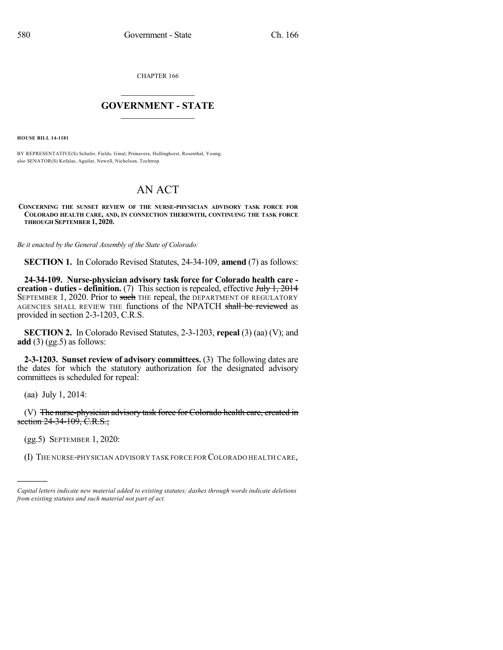CHAPTER 166

## $\mathcal{L}_\text{max}$  . The set of the set of the set of the set of the set of the set of the set of the set of the set of the set of the set of the set of the set of the set of the set of the set of the set of the set of the set **GOVERNMENT - STATE**  $\_$   $\_$

**HOUSE BILL 14-1181**

BY REPRESENTATIVE(S) Schafer, Fields, Ginal, Primavera, Hullinghorst, Rosenthal, Young; also SENATOR(S) Kefalas, Aguilar, Newell, Nicholson, Tochtrop.

## AN ACT

**CONCERNING THE SUNSET REVIEW OF THE NURSE-PHYSICIAN ADVISORY TASK FORCE FOR COLORADO HEALTH CARE, AND, IN CONNECTION THEREWITH, CONTINUING THE TASK FORCE THROUGH SEPTEMBER 1, 2020.**

*Be it enacted by the General Assembly of the State of Colorado:*

**SECTION 1.** In Colorado Revised Statutes, 24-34-109, **amend** (7) as follows:

**24-34-109. Nurse-physician advisory task force for Colorado health care creation - duties - definition.** (7) This section is repealed, effective July 1, 2014 SEPTEMBER 1, 2020. Prior to such THE repeal, the DEPARTMENT OF REGULATORY AGENCIES SHALL REVIEW THE functions of the NPATCH shall be reviewed as provided in section 2-3-1203, C.R.S.

**SECTION 2.** In Colorado Revised Statutes, 2-3-1203, **repeal** (3) (aa) (V); and **add** (3) (gg. 5) as follows:

**2-3-1203. Sunset review of advisory committees.** (3) The following dates are the dates for which the statutory authorization for the designated advisory committees is scheduled for repeal:

(aa) July 1, 2014:

)))))

(V) The nurse-physician advisory task force for Colorado health care, created in section 24-34-109, C.R.S.;

(gg.5) SEPTEMBER 1, 2020:

(I) THE NURSE-PHYSICIAN ADVISORY TASK FORCE FOR COLORADO HEALTH CARE,

*Capital letters indicate new material added to existing statutes; dashes through words indicate deletions from existing statutes and such material not part of act.*